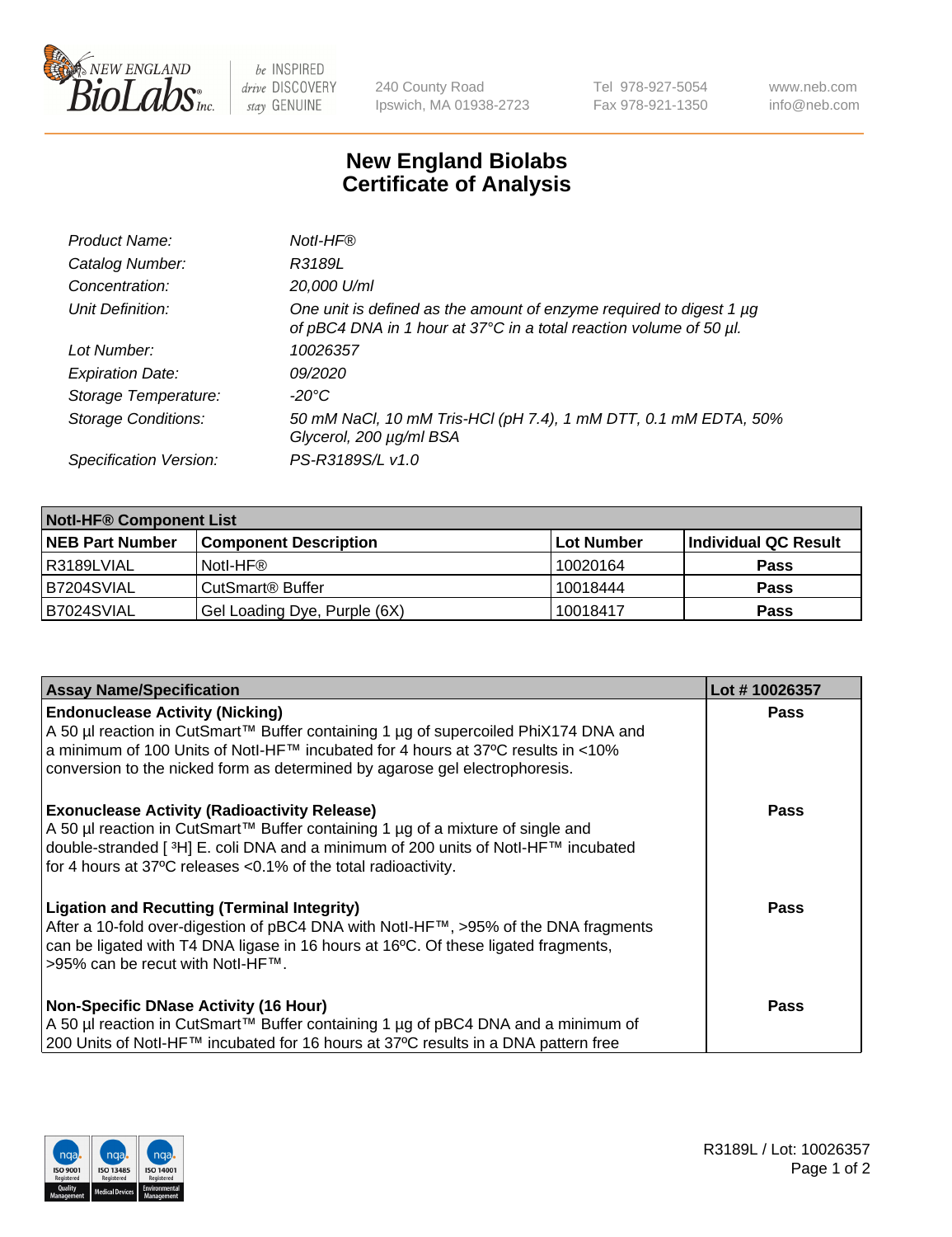

 $be$  INSPIRED drive DISCOVERY stay GENUINE

240 County Road Ipswich, MA 01938-2723 Tel 978-927-5054 Fax 978-921-1350 www.neb.com info@neb.com

## **New England Biolabs Certificate of Analysis**

| Product Name:              | Notl-HF®                                                                                                                                  |
|----------------------------|-------------------------------------------------------------------------------------------------------------------------------------------|
| Catalog Number:            | R3189L                                                                                                                                    |
| Concentration:             | 20,000 U/ml                                                                                                                               |
| Unit Definition:           | One unit is defined as the amount of enzyme required to digest 1 µg<br>of pBC4 DNA in 1 hour at 37°C in a total reaction volume of 50 µl. |
| Lot Number:                | 10026357                                                                                                                                  |
| <b>Expiration Date:</b>    | 09/2020                                                                                                                                   |
| Storage Temperature:       | $-20^{\circ}$ C                                                                                                                           |
| <b>Storage Conditions:</b> | 50 mM NaCl, 10 mM Tris-HCl (pH 7.4), 1 mM DTT, 0.1 mM EDTA, 50%<br>Glycerol, 200 µg/ml BSA                                                |
| Specification Version:     | PS-R3189S/L v1.0                                                                                                                          |

| <b>Notl-HF® Component List</b> |                              |            |                      |  |  |
|--------------------------------|------------------------------|------------|----------------------|--|--|
| <b>NEB Part Number</b>         | <b>Component Description</b> | Lot Number | Individual QC Result |  |  |
| R3189LVIAL                     | Notl-HF®                     | 10020164   | <b>Pass</b>          |  |  |
| IB7204SVIAL                    | CutSmart <sup>®</sup> Buffer | 10018444   | <b>Pass</b>          |  |  |
| B7024SVIAL                     | Gel Loading Dye, Purple (6X) | 10018417   | <b>Pass</b>          |  |  |

| <b>Assay Name/Specification</b>                                                                                                                                                        | Lot #10026357 |
|----------------------------------------------------------------------------------------------------------------------------------------------------------------------------------------|---------------|
| <b>Endonuclease Activity (Nicking)</b>                                                                                                                                                 | <b>Pass</b>   |
| A 50 µl reaction in CutSmart™ Buffer containing 1 µg of supercoiled PhiX174 DNA and<br> a minimum of 100 Units of Notl-HF™ incubated for 4 hours at 37°C results in <10%               |               |
| conversion to the nicked form as determined by agarose gel electrophoresis.                                                                                                            |               |
| <b>Exonuclease Activity (Radioactivity Release)</b>                                                                                                                                    | <b>Pass</b>   |
| A 50 µl reaction in CutSmart™ Buffer containing 1 µg of a mixture of single and<br>double-stranded [ <sup>3</sup> H] E. coli DNA and a minimum of 200 units of Notl-HF™ incubated      |               |
| for 4 hours at 37°C releases <0.1% of the total radioactivity.                                                                                                                         |               |
| <b>Ligation and Recutting (Terminal Integrity)</b>                                                                                                                                     | Pass          |
| After a 10-fold over-digestion of pBC4 DNA with Notl-HF™, >95% of the DNA fragments<br>can be ligated with T4 DNA ligase in 16 hours at 16 <sup>o</sup> C. Of these ligated fragments, |               |
| >95% can be recut with NotI-HF™.                                                                                                                                                       |               |
| <b>Non-Specific DNase Activity (16 Hour)</b>                                                                                                                                           | <b>Pass</b>   |
| A 50 µl reaction in CutSmart™ Buffer containing 1 µg of pBC4 DNA and a minimum of                                                                                                      |               |
| 200 Units of Notl-HF™ incubated for 16 hours at 37°C results in a DNA pattern free                                                                                                     |               |